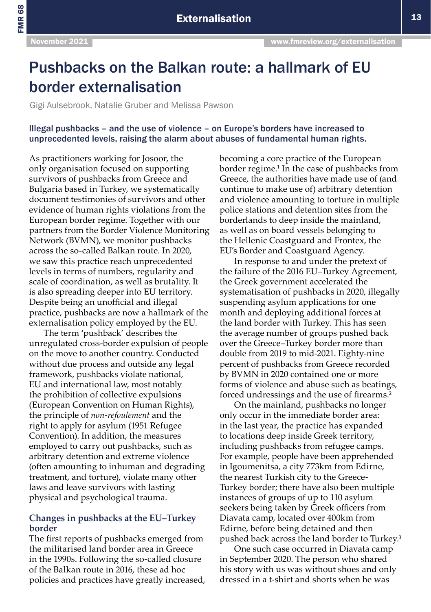FMR 68

# Pushbacks on the Balkan route: a hallmark of EU border externalisation

Gigi Aulsebrook, Natalie Gruber and Melissa Pawson

Illegal pushbacks – and the use of violence – on Europe's borders have increased to unprecedented levels, raising the alarm about abuses of fundamental human rights.

As practitioners working for Josoor, the only organisation focused on supporting survivors of pushbacks from Greece and Bulgaria based in Turkey, we systematically document testimonies of survivors and other evidence of human rights violations from the European border regime. Together with our partners from the Border Violence Monitoring Network (BVMN), we monitor pushbacks across the so-called Balkan route. In 2020, we saw this practice reach unprecedented levels in terms of numbers, regularity and scale of coordination, as well as brutality. It is also spreading deeper into EU territory. Despite being an unofficial and illegal practice, pushbacks are now a hallmark of the externalisation policy employed by the EU.

The term 'pushback' describes the unregulated cross-border expulsion of people on the move to another country. Conducted without due process and outside any legal framework, pushbacks violate national, EU and international law, most notably the prohibition of collective expulsions (European Convention on Human Rights), the principle of *non-refoulement* and the right to apply for asylum (1951 Refugee Convention). In addition, the measures employed to carry out pushbacks, such as arbitrary detention and extreme violence (often amounting to inhuman and degrading treatment, and torture), violate many other laws and leave survivors with lasting physical and psychological trauma.

## **Changes in pushbacks at the EU–Turkey border**

The first reports of pushbacks emerged from the militarised land border area in Greece in the 1990s. Following the so-called closure of the Balkan route in 2016, these ad hoc policies and practices have greatly increased, becoming a core practice of the European border regime.<sup>1</sup> In the case of pushbacks from Greece, the authorities have made use of (and continue to make use of) arbitrary detention and violence amounting to torture in multiple police stations and detention sites from the borderlands to deep inside the mainland, as well as on board vessels belonging to the Hellenic Coastguard and Frontex, the EU's Border and Coastguard Agency.

In response to and under the pretext of the failure of the 2016 EU–Turkey Agreement, the Greek government accelerated the systematisation of pushbacks in 2020, illegally suspending asylum applications for one month and deploying additional forces at the land border with Turkey. This has seen the average number of groups pushed back over the Greece–Turkey border more than double from 2019 to mid-2021. Eighty-nine percent of pushbacks from Greece recorded by BVMN in 2020 contained one or more forms of violence and abuse such as beatings, forced undressings and the use of firearms.<sup>2</sup>

On the mainland, pushbacks no longer only occur in the immediate border area: in the last year, the practice has expanded to locations deep inside Greek territory, including pushbacks from refugee camps. For example, people have been apprehended in Igoumenitsa, a city 773km from Edirne, the nearest Turkish city to the Greece-Turkey border; there have also been multiple instances of groups of up to 110 asylum seekers being taken by Greek officers from Diavata camp, located over 400km from Edirne, before being detained and then pushed back across the land border to Turkey.³

One such case occurred in Diavata camp in September 2020. The person who shared his story with us was without shoes and only dressed in a t-shirt and shorts when he was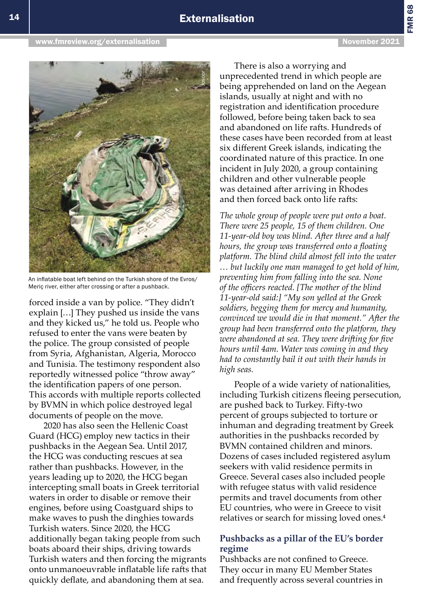FMR 68



An inflatable boat left behind on the Turkish shore of the Evros/ Meriç river, either after crossing or after a pushback.

forced inside a van by police. "They didn't explain […] They pushed us inside the vans and they kicked us," he told us. People who refused to enter the vans were beaten by the police. The group consisted of people from Syria, Afghanistan, Algeria, Morocco and Tunisia. The testimony respondent also reportedly witnessed police "throw away" the identification papers of one person. This accords with multiple reports collected by BVMN in which police destroyed legal documents of people on the move.

2020 has also seen the Hellenic Coast Guard (HCG) employ new tactics in their pushbacks in the Aegean Sea. Until 2017, the HCG was conducting rescues at sea rather than pushbacks. However, in the years leading up to 2020, the HCG began intercepting small boats in Greek territorial waters in order to disable or remove their engines, before using Coastguard ships to make waves to push the dinghies towards Turkish waters. Since 2020, the HCG additionally began taking people from such boats aboard their ships, driving towards Turkish waters and then forcing the migrants onto unmanoeuvrable inflatable life rafts that quickly deflate, and abandoning them at sea.

There is also a worrying and unprecedented trend in which people are being apprehended on land on the Aegean islands, usually at night and with no registration and identification procedure followed, before being taken back to sea and abandoned on life rafts. Hundreds of these cases have been recorded from at least six different Greek islands, indicating the coordinated nature of this practice. In one incident in July 2020, a group containing children and other vulnerable people was detained after arriving in Rhodes and then forced back onto life rafts:

*The whole group of people were put onto a boat. There were 25 people, 15 of them children. One 11-year-old boy was blind. After three and a half hours, the group was transferred onto a floating platform. The blind child almost fell into the water … but luckily one man managed to get hold of him, preventing him from falling into the sea. None of the officers reacted. [The mother of the blind 11-year-old said:] "My son yelled at the Greek soldiers, begging them for mercy and humanity, convinced we would die in that moment." After the group had been transferred onto the platform, they were abandoned at sea. They were drifting for five hours until 4am. Water was coming in and they had to constantly bail it out with their hands in high seas.*

People of a wide variety of nationalities, including Turkish citizens fleeing persecution, are pushed back to Turkey. Fifty-two percent of groups subjected to torture or inhuman and degrading treatment by Greek authorities in the pushbacks recorded by BVMN contained children and minors. Dozens of cases included registered asylum seekers with valid residence permits in Greece. Several cases also included people with refugee status with valid residence permits and travel documents from other EU countries, who were in Greece to visit relatives or search for missing loved ones.<sup>4</sup>

## **Pushbacks as a pillar of the EU's border regime**

Pushbacks are not confined to Greece. They occur in many EU Member States and frequently across several countries in